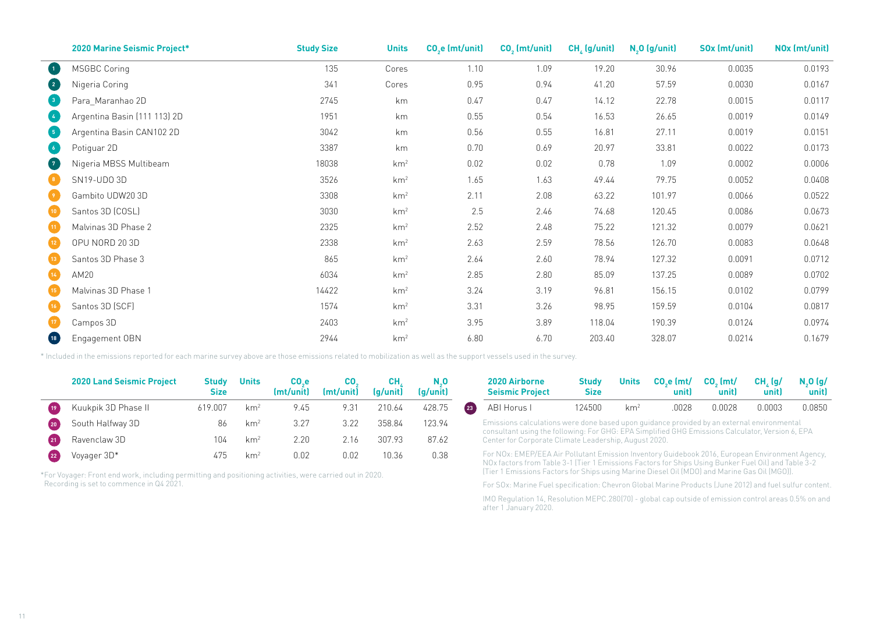|                                                      | 2020 Marine Seismic Project* | <b>Study Size</b> | <b>Units</b>    | CO <sub>2</sub> e (mt/unit) | $CO2$ (mt/unit) | $CH4$ (g/unit) | $N, 0$ (g/unit) | SOx (mt/unit) | NO <sub>x</sub> (mt/unit) |
|------------------------------------------------------|------------------------------|-------------------|-----------------|-----------------------------|-----------------|----------------|-----------------|---------------|---------------------------|
| $\left( 1 \right)$                                   | <b>MSGBC Coring</b>          | 135               | Cores           | 1.10                        | 1.09            | 19.20          | 30.96           | 0.0035        | 0.0193                    |
| $\sqrt{2}$                                           | Nigeria Coring               | 341               | Cores           | 0.95                        | 0.94            | 41.20          | 57.59           | 0.0030        | 0.0167                    |
| $\begin{array}{ c c } \hline 3 & \hline \end{array}$ | Para Maranhao 2D             | 2745              | km              | 0.47                        | 0.47            | 14.12          | 22.78           | 0.0015        | 0.0117                    |
| (4)                                                  | Argentina Basin (111 113) 2D | 1951              | km              | 0.55                        | 0.54            | 16.53          | 26.65           | 0.0019        | 0.0149                    |
| $\sqrt{5}$                                           | Argentina Basin CAN102 2D    | 3042              | km              | 0.56                        | 0.55            | 16.81          | 27.11           | 0.0019        | 0.0151                    |
| $\begin{array}{c} \bullet \end{array}$               | Potiguar 2D                  | 3387              | km              | 0.70                        | 0.69            | 20.97          | 33.81           | 0.0022        | 0.0173                    |
| $\sqrt{7}$                                           | Nigeria MBSS Multibeam       | 18038             | km <sup>2</sup> | 0.02                        | 0.02            | 0.78           | 1.09            | 0.0002        | 0.0006                    |
|                                                      | SN19-UDO 3D                  | 3526              | km <sup>2</sup> | 1.65                        | 1.63            | 49.44          | 79.75           | 0.0052        | 0.0408                    |
|                                                      | Gambito UDW20 3D             | 3308              | km <sup>2</sup> | 2.11                        | 2.08            | 63.22          | 101.97          | 0.0066        | 0.0522                    |
| (10)                                                 | Santos 3D (COSL)             | 3030              | km <sup>2</sup> | 2.5                         | 2.46            | 74.68          | 120.45          | 0.0086        | 0.0673                    |
| (11)                                                 | Malvinas 3D Phase 2          | 2325              | km <sup>2</sup> | 2.52                        | 2.48            | 75.22          | 121.32          | 0.0079        | 0.0621                    |
| $\boxed{12}$                                         | OPU NORD 20 3D               | 2338              | km <sup>2</sup> | 2.63                        | 2.59            | 78.56          | 126.70          | 0.0083        | 0.0648                    |
| (13)                                                 | Santos 3D Phase 3            | 865               | km <sup>2</sup> | 2.64                        | 2.60            | 78.94          | 127.32          | 0.0091        | 0.0712                    |
| $\overline{14}$                                      | AM20                         | 6034              | km <sup>2</sup> | 2.85                        | 2.80            | 85.09          | 137.25          | 0.0089        | 0.0702                    |
| (15)                                                 | Malvinas 3D Phase 1          | 14422             | km <sup>2</sup> | 3.24                        | 3.19            | 96.81          | 156.15          | 0.0102        | 0.0799                    |
| (16)                                                 | Santos 3D (SCF)              | 1574              | km <sup>2</sup> | 3.31                        | 3.26            | 98.95          | 159.59          | 0.0104        | 0.0817                    |
|                                                      | Campos 3D                    | 2403              | km <sup>2</sup> | 3.95                        | 3.89            | 118.04         | 190.39          | 0.0124        | 0.0974                    |
| (18)                                                 | Engagement OBN               | 2944              | km <sup>2</sup> | 6.80                        | 6.70            | 203.40         | 328.07          | 0.0214        | 0.1679                    |

\* Included in the emissions reported for each marine survey above are those emissions related to mobilization as well as the support vessels used in the survey.

|    | <b>2020 Land Seismic Project</b> | Studv<br><b>Size</b> | <b>Units</b>    | CO e<br>(mt/unit) | (mt/unit) | CН<br>(g/unit) | N.O<br>(a/unit) |                                                                                                                                                           | 2020 Airborne<br><b>Seismic Project</b>                                                         | Study<br><b>Size</b> | <b>Units</b>    | $COe$ (mt/<br>unitl | $COz$ (mt/<br>unit) | CH. (q/<br>unitl | $N_0$ (g/<br>unit) |  |
|----|----------------------------------|----------------------|-----------------|-------------------|-----------|----------------|-----------------|-----------------------------------------------------------------------------------------------------------------------------------------------------------|-------------------------------------------------------------------------------------------------|----------------------|-----------------|---------------------|---------------------|------------------|--------------------|--|
|    | Kuukpik 3D Phase II              | 619.007              | km <sup>2</sup> | 9.45              | 9.31      | 210.64         | 428.75          |                                                                                                                                                           | ABI Horus I                                                                                     | 124500               | km <sup>2</sup> | .0028               | 0.0028              | 0.0003           | 0.0850             |  |
|    | South Halfway 3D                 | 86                   | km <sup>2</sup> | 3.27              | 3.22      | 358.84         | 123.94          |                                                                                                                                                           | Emissions calculations were done based upon quidance provided by an external environmental      |                      |                 |                     |                     |                  |                    |  |
|    | Ravenclaw 3D                     | 104                  | km <sup>2</sup> | 2.20              | 2.16      | 307.93         | 87.62           | consultant using the following: For GHG: EPA Simplified GHG Emissions Calculator, Version 6, EPA<br>Center for Corporate Climate Leadership, August 2020. |                                                                                                 |                      |                 |                     |                     |                  |                    |  |
| 22 | Voyager 3D*                      |                      | km <sup>2</sup> | 0.02              | 0.02      | 10.36          | 0.38            |                                                                                                                                                           | For NOx: EMEP/EEA Air Pollutant Emission Inventory Guidebook 2016, European Environment Agency, |                      |                 |                     |                     |                  |                    |  |

\*For Voyager: Front end work, including permitting and positioning activities, were carried out in 2020. Recording is set to commence in Q4 2021.

|                    | 2020 Airborne<br><b>Seismic Project</b> | <b>Study</b><br><b>Size</b> | <b>Units</b>    | $COe$ (mt/ $COe$ (mt/<br>unit) | unit)  | $CH_{1}$ (g/<br>unit) | N.O (q/<br>unit) |
|--------------------|-----------------------------------------|-----------------------------|-----------------|--------------------------------|--------|-----------------------|------------------|
| $\left( 23\right)$ | ABI Horus I                             | 124500.                     | km <sup>2</sup> | .0028                          | በ በበ28 | 0.0003                | 0.0850           |

For NOx: EMEP/EEA Air Pollutant Emission Inventory Guidebook 2016, European Environment Agency, NOx factors from Table 3-1 (Tier 1 Emissions Factors for Ships Using Bunker Fuel Oil) and Table 3-2 (Tier 1 Emissions Factors for Ships using Marine Diesel Oil (MDO) and Marine Gas Oil (MGO)).

For SOx: Marine Fuel specification: Chevron Global Marine Products (June 2012) and fuel sulfur content.

IMO Regulation 14, Resolution MEPC.280(70) - global cap outside of emission control areas 0.5% on and after 1 January 2020.